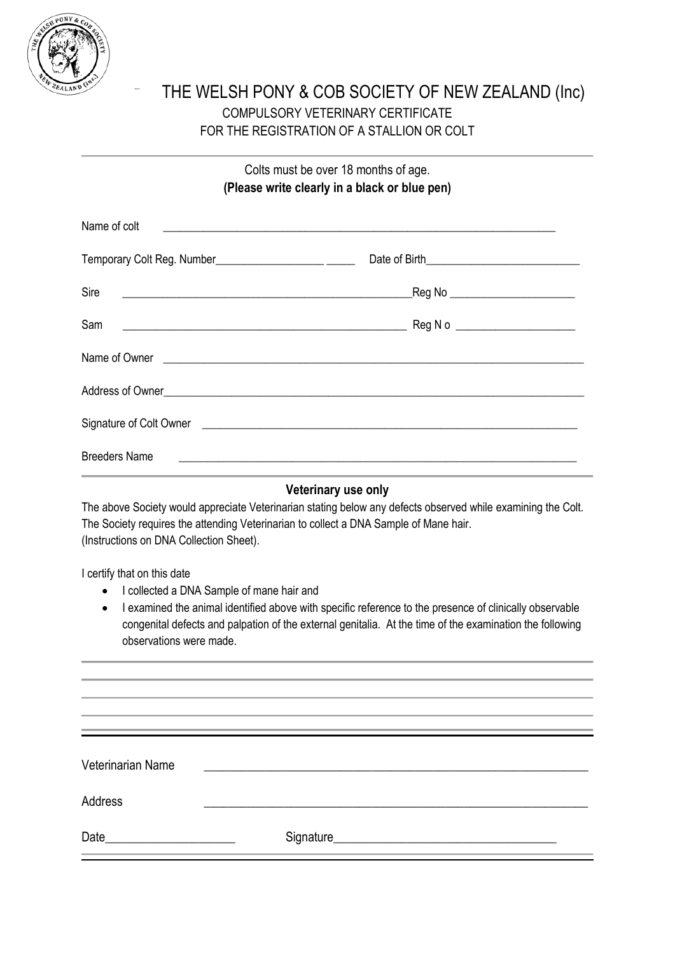

## THE WELSH PONY & COB SOCIETY OF NEW ZEALAND (Inc) COMPULSORY VETERINARY CERTIFICATE FOR THE REGISTRATION OF A STALLION OR COLT

Colts must be over 18 months of age. **(Please write clearly in a black or blue pen)**

| Name of colt                                                                   |                                                                                                                                                                                                                                      |
|--------------------------------------------------------------------------------|--------------------------------------------------------------------------------------------------------------------------------------------------------------------------------------------------------------------------------------|
|                                                                                |                                                                                                                                                                                                                                      |
| Sire                                                                           |                                                                                                                                                                                                                                      |
| Sam<br><u> 1980 - Johann Barn, fransk politik amerikansk politik (d. 1980)</u> | Reg N o ______________________                                                                                                                                                                                                       |
|                                                                                | Name of Owner <u>example and the contract of the set of the set of the set of the set of the set of the set of the set of the set of the set of the set of the set of the set of the set of the set of the set of the set of the</u> |
|                                                                                |                                                                                                                                                                                                                                      |
|                                                                                | Signature of Colt Owner <u>equal to the contract of the contract of the contract of the contract of the contract of</u>                                                                                                              |
| <b>Breeders Name</b>                                                           |                                                                                                                                                                                                                                      |

## **Veterinary use only**

The above Society would appreciate Veterinarian stating below any defects observed while examining the Colt. The Society requires the attending Veterinarian to collect a DNA Sample of Mane hair. (Instructions on DNA Collection Sheet).

I certify that on this date

- I collected a DNA Sample of mane hair and
- I examined the animal identified above with specific reference to the presence of clinically observable congenital defects and palpation of the external genitalia. At the time of the examination the following observations were made.

| Veterinarian Name                                                                                                            |  |
|------------------------------------------------------------------------------------------------------------------------------|--|
| Address                                                                                                                      |  |
| Date<br><u> 1980 - Jan Stein Stein Stein Stein Stein Stein Stein Stein Stein Stein Stein Stein Stein Stein Stein Stein S</u> |  |